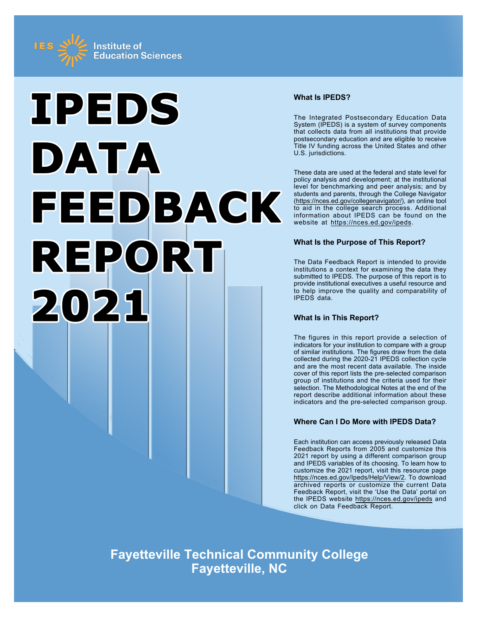



# **What Is IPEDS?**

The Integrated Postsecondary Education Data System (IPEDS) is a system of survey components that collects data from all institutions that provide postsecondary education and are eligible to receive Title IV funding across the United States and other U.S. jurisdictions.

These data are used at the federal and state level for policy analysis and development; at the institutional level for benchmarking and peer analysis; and by students and parents, through the College Navigator ([https://nces.ed.gov/collegenavigator/\)](https://nces.ed.gov/collegenavigator/), an online tool to aid in the college search process. Additional information about IPEDS can be found on the website at<https://nces.ed.gov/ipeds>.

# **What Is the Purpose of This Report?**

The Data Feedback Report is intended to provide institutions a context for examining the data they submitted to IPEDS. The purpose of this report is to provide institutional executives a useful resource and to help improve the quality and comparability of IPEDS data.

# **What Is in This Report?**

The figures in this report provide a selection of indicators for your institution to compare with a group of similar institutions. The figures draw from the data collected during the 2020-21 IPEDS collection cycle and are the most recent data available. The inside cover of this report lists the pre-selected comparison group of institutions and the criteria used for their selection. The Methodological Notes at the end of the report describe additional information about these indicators and the pre-selected comparison group.

# **Where Can I Do More with IPEDS Data?**

Each institution can access previously released Data Feedback Reports from 2005 and customize this 2021 report by using a different comparison group and IPEDS variables of its choosing. To learn how to customize the 2021 report, visit this resource page <https://nces.ed.gov/Ipeds/Help/View/2>. To download archived reports or customize the current Data Feedback Report, visit the 'Use the Data' portal on the IPEDS website<https://nces.ed.gov/ipeds> and click on Data Feedback Report.

**Fayetteville Technical Community College Fayetteville, NC**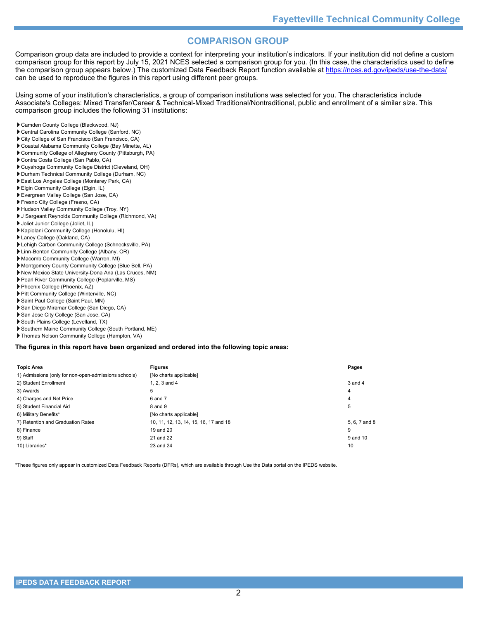# **COMPARISON GROUP**

Comparison group data are included to provide a context for interpreting your institution's indicators. If your institution did not define a custom comparison group for this report by July 15, 2021 NCES selected a comparison group for you. (In this case, the characteristics used to define the comparison group appears below.) The customized Data Feedback Report function available at<https://nces.ed.gov/ipeds/use-the-data/> can be used to reproduce the figures in this report using different peer groups.

Using some of your institution's characteristics, a group of comparison institutions was selected for you. The characteristics include Associate's Colleges: Mixed Transfer/Career & Technical-Mixed Traditional/Nontraditional, public and enrollment of a similar size. This comparison group includes the following 31 institutions:

- Camden County College (Blackwood, NJ)
- Central Carolina Community College (Sanford, NC)
- City College of San Francisco (San Francisco, CA)
- Coastal Alabama Community College (Bay Minette, AL)
- Community College of Allegheny County (Pittsburgh, PA)
- Contra Costa College (San Pablo, CA)
- Cuyahoga Community College District (Cleveland, OH)
- Durham Technical Community College (Durham, NC)
- East Los Angeles College (Monterey Park, CA)
- Elgin Community College (Elgin, IL)
- Evergreen Valley College (San Jose, CA)
- Fresno City College (Fresno, CA)
- Hudson Valley Community College (Troy, NY) J Sargeant Reynolds Community College (Richmond, VA)
- Joliet Junior College (Joliet, IL)
- Kapiolani Community College (Honolulu, HI)
- 
- Laney College (Oakland, CA)
- Lehigh Carbon Community College (Schnecksville, PA)
- Linn-Benton Community College (Albany, OR)
- Macomb Community College (Warren, MI)
- Montgomery County Community College (Blue Bell, PA)
- New Mexico State University-Dona Ana (Las Cruces, NM)
- Pearl River Community College (Poplarville, MS)
- Phoenix College (Phoenix, AZ)
- Pitt Community College (Winterville, NC)
- Saint Paul College (Saint Paul, MN)
- San Diego Miramar College (San Diego, CA)
- San Jose City College (San Jose, CA)
- South Plains College (Levelland, TX)
- Southern Maine Community College (South Portland, ME)
- Thomas Nelson Community College (Hampton, VA)

#### **The figures in this report have been organized and ordered into the following topic areas:**

| <b>Topic Area</b>                                    | <b>Figures</b>                        | Pages         |
|------------------------------------------------------|---------------------------------------|---------------|
| 1) Admissions (only for non-open-admissions schools) | [No charts applicable]                |               |
| 2) Student Enrollment                                | 1. $2.3$ and $4$                      | 3 and 4       |
| 3) Awards                                            | 5                                     | 4             |
| 4) Charges and Net Price                             | 6 and 7                               | 4             |
| 5) Student Financial Aid                             | 8 and 9                               | 5             |
| 6) Military Benefits*                                | [No charts applicable]                |               |
| 7) Retention and Graduation Rates                    | 10, 11, 12, 13, 14, 15, 16, 17 and 18 | 5, 6, 7 and 8 |
| 8) Finance                                           | 19 and 20                             | 9             |
| 9) Staff                                             | 21 and 22                             | 9 and 10      |
| 10) Libraries*                                       | 23 and 24                             | 10            |

\*These figures only appear in customized Data Feedback Reports (DFRs), which are available through Use the Data portal on the IPEDS website.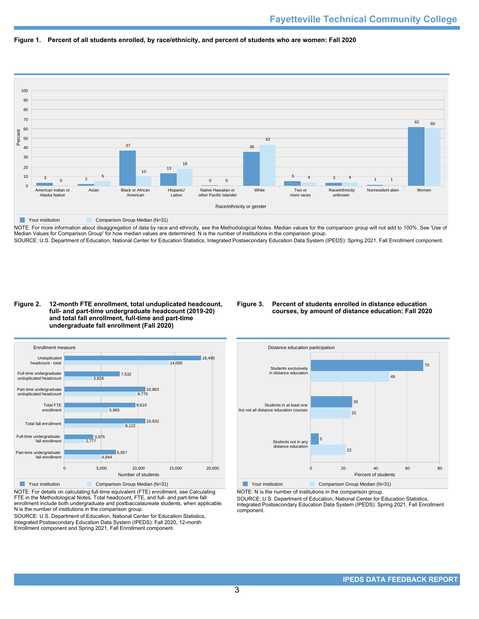



NOTE: For more information about disaggregation of data by race and ethnicity, see the Methodological Notes. Median values for the comparison group will not add to 100%. See 'Use of Median Values for Comparison Group' for how median values are determined. N is the number of institutions in the comparison group. SOURCE: U.S. Department of Education, National Center for Education Statistics, Integrated Postsecondary Education Data System (IPEDS): Spring 2021, Fall Enrollment component.

#### **Figure 2. 12-month FTE enrollment, total unduplicated headcount, full- and part-time undergraduate headcount (2019-20) and total fall enrollment, full-time and part-time undergraduate fall enrollment (Fall 2020)**

# **Figure 3. Percent of students enrolled in distance education courses, by amount of distance education: Fall 2020**



NOTE: For details on calculating full-time equivalent (FTE) enrollment, see Calculating FTE in the Methodological Notes. Total headcount, FTE, and full- and part-time fall enrollment include both undergraduate and postbaccalaureate students, when applicable. N is the number of institutions in the comparison group.

SOURCE: U.S. Department of Education, National Center for Education Statistics, Integrated Postsecondary Education Data System (IPEDS): Fall 2020, 12-month Enrollment component and Spring 2021, Fall Enrollment component.



NOTE: N is the number of institutions in the comparison group.

SOURCE: U.S. Department of Education, National Center for Education Statistics, Integrated Postsecondary Education Data System (IPEDS): Spring 2021, Fall Enrollment component.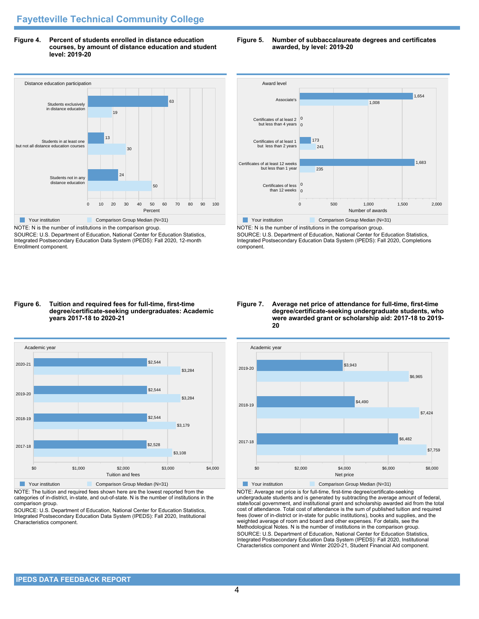**Figure 4. Percent of students enrolled in distance education courses, by amount of distance education and student level: 2019-20**

# Distance education participation 0 10 20 30 40 50 60 70 80 90 100 Percent Students not in any distance education Students in at least one but not all distance education courses Students exclusively in distance education 50 24 30 13 19 63 **The Comparison Group Median (N=31)** Comparison Group Median (N=31)

NOTE: N is the number of institutions in the comparison group. SOURCE: U.S. Department of Education, National Center for Education Statistics, Integrated Postsecondary Education Data System (IPEDS): Fall 2020, 12-month Enrollment component.

#### **Figure 5. Number of subbaccalaureate degrees and certificates awarded, by level: 2019-20**



NOTE: N is the number of institutions in the comparison group. SOURCE: U.S. Department of Education, National Center for Education Statistics, Integrated Postsecondary Education Data System (IPEDS): Fall 2020, Completions component.

#### **Figure 6. Tuition and required fees for full-time, first-time degree/certificate-seeking undergraduates: Academic years 2017-18 to 2020-21**



NOTE: The tuition and required fees shown here are the lowest reported from the categories of in-district, in-state, and out-of-state. N is the number of institutions in the comparison group.

SOURCE: U.S. Department of Education, National Center for Education Statistics, Integrated Postsecondary Education Data System (IPEDS): Fall 2020, Institutional Characteristics component.

#### **Figure 7. Average net price of attendance for full-time, first-time degree/certificate-seeking undergraduate students, who were awarded grant or scholarship aid: 2017-18 to 2019- 20**



NOTE: Average net price is for full-time, first-time degree/certificate-seeking undergraduate students and is generated by subtracting the average amount of federal, state/local government, and institutional grant and scholarship awarded aid from the total cost of attendance. Total cost of attendance is the sum of published tuition and required fees (lower of in-district or in-state for public institutions), books and supplies, and the weighted average of room and board and other expenses. For details, see the Methodological Notes. N is the number of institutions in the comparison group. SOURCE: U.S. Department of Education, National Center for Education Statistics, Integrated Postsecondary Education Data System (IPEDS): Fall 2020, Institutional Characteristics component and Winter 2020-21, Student Financial Aid component.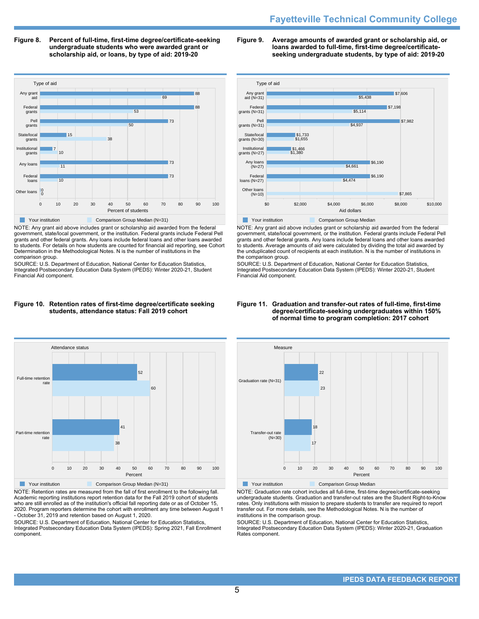# **Fayetteville Technical Community College**

**Figure 8. Percent of full-time, first-time degree/certificate-seeking undergraduate students who were awarded grant or scholarship aid, or loans, by type of aid: 2019-20**



NOTE: Any grant aid above includes grant or scholarship aid awarded from the federal government, state/local government, or the institution. Federal grants include Federal Pell grants and other federal grants. Any loans include federal loans and other loans awarded to students. For details on how students are counted for financial aid reporting, see Cohort Determination in the Methodological Notes. N is the number of institutions in the comparison group.

SOURCE: U.S. Department of Education, National Center for Education Statistics, Integrated Postsecondary Education Data System (IPEDS): Winter 2020-21, Student Financial Aid component.

#### **Figure 10. Retention rates of first-time degree/certificate seeking students, attendance status: Fall 2019 cohort**



NOTE: Retention rates are measured from the fall of first enrollment to the following fall. Academic reporting institutions report retention data for the Fall 2019 cohort of students who are still enrolled as of the institution's official fall reporting date or as of October 15, 2020. Program reporters determine the cohort with enrollment any time between August 1 - October 31, 2019 and retention based on August 1, 2020.

SOURCE: U.S. Department of Education, National Center for Education Statistics, Integrated Postsecondary Education Data System (IPEDS): Spring 2021, Fall Enrollment component.

#### **Figure 9. Average amounts of awarded grant or scholarship aid, or loans awarded to full-time, first-time degree/certificateseeking undergraduate students, by type of aid: 2019-20**



NOTE: Any grant aid above includes grant or scholarship aid awarded from the federal government, state/local government, or the institution. Federal grants include Federal Pell grants and other federal grants. Any loans include federal loans and other loans awarded to students. Average amounts of aid were calculated by dividing the total aid awarded by the unduplicated count of recipients at each institution. N is the number of institutions in the comparison group.

SOURCE: U.S. Department of Education, National Center for Education Statistics, Integrated Postsecondary Education Data System (IPEDS): Winter 2020-21, Student Financial Aid component.

#### **Figure 11. Graduation and transfer-out rates of full-time, first-time degree/certificate-seeking undergraduates within 150% of normal time to program completion: 2017 cohort**



NOTE: Graduation rate cohort includes all full-time, first-time degree/certificate-seeking undergraduate students. Graduation and transfer-out rates are the Student Right-to-Know rates. Only institutions with mission to prepare students to transfer are required to report transfer out. For more details, see the Methodological Notes. N is the number of institutions in the comparison group.

SOURCE: U.S. Department of Education, National Center for Education Statistics, Integrated Postsecondary Education Data System (IPEDS): Winter 2020-21, Graduation Rates component.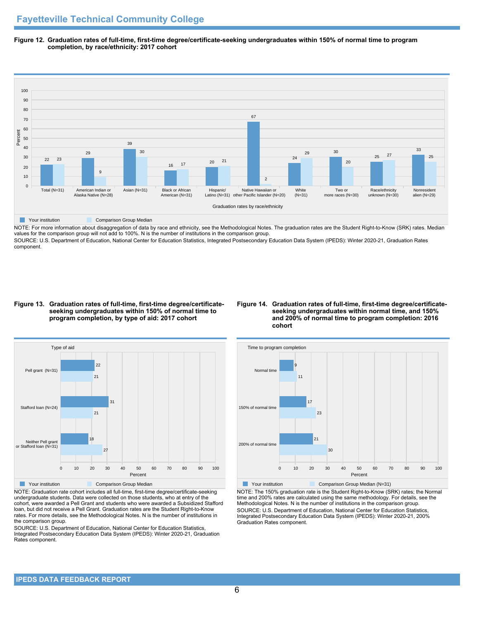**Figure 12. Graduation rates of full-time, first-time degree/certificate-seeking undergraduates within 150% of normal time to program completion, by race/ethnicity: 2017 cohort**



NOTE: For more information about disaggregation of data by race and ethnicity, see the Methodological Notes. The graduation rates are the Student Right-to-Know (SRK) rates. Median values for the comparison group will not add to 100%. N is the number of institutions in the comparison group.

SOURCE: U.S. Department of Education, National Center for Education Statistics, Integrated Postsecondary Education Data System (IPEDS): Winter 2020-21, Graduation Rates component.

#### **Figure 13. Graduation rates of full-time, first-time degree/certificateseeking undergraduates within 150% of normal time to program completion, by type of aid: 2017 cohort**

# **Figure 14. Graduation rates of full-time, first-time degree/certificateseeking undergraduates within normal time, and 150% and 200% of normal time to program completion: 2016 cohort**



NOTE: Graduation rate cohort includes all full-time, first-time degree/certificate-seeking undergraduate students. Data were collected on those students, who at entry of the cohort, were awarded a Pell Grant and students who were awarded a Subsidized Stafford loan, but did not receive a Pell Grant. Graduation rates are the Student Right-to-Know rates. For more details, see the Methodological Notes. N is the number of institutions in the comparison group.

SOURCE: U.S. Department of Education, National Center for Education Statistics, Integrated Postsecondary Education Data System (IPEDS): Winter 2020-21, Graduation Rates component.



NOTE: The 150% graduation rate is the Student Right-to-Know (SRK) rates; the Normal time and 200% rates are calculated using the same methodology. For details, see the Methodological Notes. N is the number of institutions in the comparison group. SOURCE: U.S. Department of Education, National Center for Education Statistics, Integrated Postsecondary Education Data System (IPEDS): Winter 2020-21, 200% Graduation Rates component.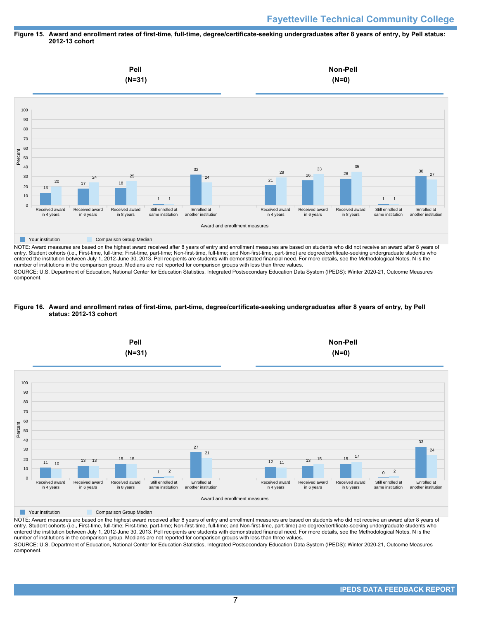# **Figure 15. Award and enrollment rates of first-time, full-time, degree/certificate-seeking undergraduates after 8 years of entry, by Pell status: 2012-13 cohort**



NOTE: Award measures are based on the highest award received after 8 years of entry and enrollment measures are based on students who did not receive an award after 8 years of entry. Student cohorts (i.e., First-time, full-time; First-time, part-time; Non-first-time, full-time; and Non-first-time, part-time) are degree/certificate-seeking undergraduate students who entered the institution between July 1, 2012-June 30, 2013. Pell recipients are students with demonstrated financial need. For more details, see the Methodological Notes. N is the number of institutions in the comparison group. Medians are not reported for comparison groups with less than three values.

SOURCE: U.S. Department of Education, National Center for Education Statistics, Integrated Postsecondary Education Data System (IPEDS): Winter 2020-21, Outcome Measures component.

# **Figure 16. Award and enrollment rates of first-time, part-time, degree/certificate-seeking undergraduates after 8 years of entry, by Pell status: 2012-13 cohort**



NOTE: Award measures are based on the highest award received after 8 years of entry and enrollment measures are based on students who did not receive an award after 8 years of entry. Student cohorts (i.e., First-time, full-time; First-time, part-time; Non-first-time, full-time; and Non-first-time, part-time) are degree/certificate-seeking undergraduate students who entered the institution between July 1, 2012-June 30, 2013. Pell recipients are students with demonstrated financial need. For more details, see the Methodological Notes. N is the number of institutions in the comparison group. Medians are not reported for comparison groups with less than three values. SOURCE: U.S. Department of Education, National Center for Education Statistics, Integrated Postsecondary Education Data System (IPEDS): Winter 2020-21, Outcome Measures component.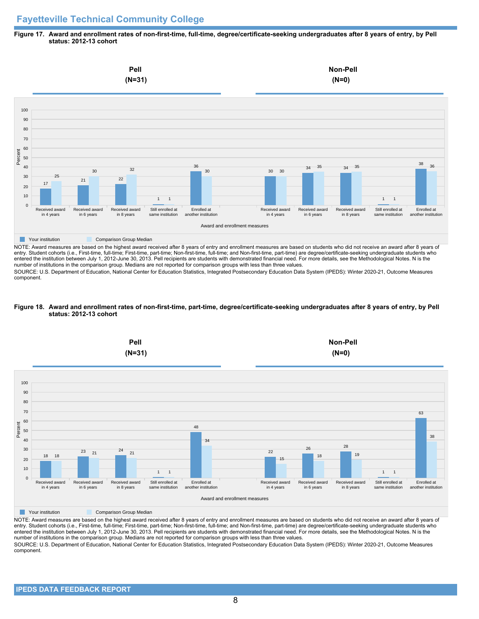# **Fayetteville Technical Community College**

#### **Figure 17. Award and enrollment rates of non-first-time, full-time, degree/certificate-seeking undergraduates after 8 years of entry, by Pell status: 2012-13 cohort**



NOTE: Award measures are based on the highest award received after 8 years of entry and enrollment measures are based on students who did not receive an award after 8 years of entry. Student cohorts (i.e., First-time, full-time; First-time, part-time; Non-first-time, full-time; and Non-first-time, part-time) are degree/certificate-seeking undergraduate students who entered the institution between July 1, 2012-June 30, 2013. Pell recipients are students with demonstrated financial need. For more details, see the Methodological Notes. N is the number of institutions in the comparison group. Medians are not reported for comparison groups with less than three values.

SOURCE: U.S. Department of Education, National Center for Education Statistics, Integrated Postsecondary Education Data System (IPEDS): Winter 2020-21, Outcome Measures component.

#### **Figure 18. Award and enrollment rates of non-first-time, part-time, degree/certificate-seeking undergraduates after 8 years of entry, by Pell status: 2012-13 cohort**



NOTE: Award measures are based on the highest award received after 8 years of entry and enrollment measures are based on students who did not receive an award after 8 years of entry. Student cohorts (i.e., First-time, full-time; First-time, part-time; Non-first-time, full-time; and Non-first-time, part-time) are degree/certificate-seeking undergraduate students who entered the institution between July 1, 2012-June 30, 2013. Pell recipients are students with demonstrated financial need. For more details, see the Methodological Notes. N is the number of institutions in the comparison group. Medians are not reported for comparison groups with less than three values. SOURCE: U.S. Department of Education, National Center for Education Statistics, Integrated Postsecondary Education Data System (IPEDS): Winter 2020-21, Outcome Measures component.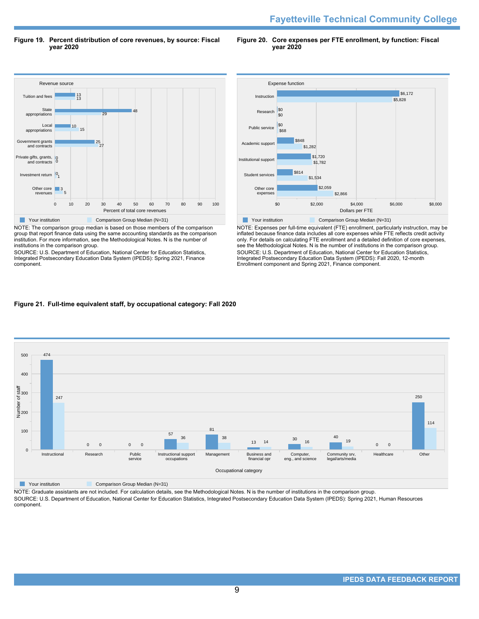**Figure 19. Percent distribution of core revenues, by source: Fiscal year 2020**

**Figure 20. Core expenses per FTE enrollment, by function: Fiscal year 2020**



NOTE: The comparison group median is based on those members of the comparison group that report finance data using the same accounting standards as the comparison institution. For more information, see the Methodological Notes. N is the number of institutions in the comparison group.

SOURCE: U.S. Department of Education, National Center for Education Statistics, Integrated Postsecondary Education Data System (IPEDS): Spring 2021, Finance component.



NOTE: Expenses per full-time equivalent (FTE) enrollment, particularly instruction, may be inflated because finance data includes all core expenses while FTE reflects credit activity only. For details on calculating FTE enrollment and a detailed definition of core expenses, see the Methodological Notes. N is the number of institutions in the comparison group. SOURCE: U.S. Department of Education, National Center for Education Statistics, Integrated Postsecondary Education Data System (IPEDS): Fall 2020, 12-month Enrollment component and Spring 2021, Finance component.

# **Figure 21. Full-time equivalent staff, by occupational category: Fall 2020**



**Your institution** Comparison Group Median (N=31)

NOTE: Graduate assistants are not included. For calculation details, see the Methodological Notes. N is the number of institutions in the comparison group. SOURCE: U.S. Department of Education, National Center for Education Statistics, Integrated Postsecondary Education Data System (IPEDS): Spring 2021, Human Resources component.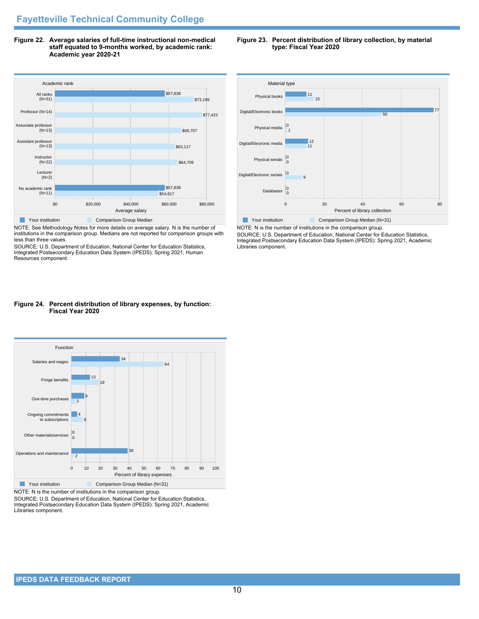**Figure 22. Average salaries of full-time instructional non-medical staff equated to 9-months worked, by academic rank: Academic year 2020-21**



NOTE: See Methodology Notes for more details on average salary. N is the number of institutions in the comparison group. Medians are not reported for comparison groups with less than three values.

SOURCE: U.S. Department of Education, National Center for Education Statistics, Integrated Postsecondary Education Data System (IPEDS): Spring 2021, Human Resources component.

# **Figure 24. Percent distribution of library expenses, by function: Fiscal Year 2020**



NOTE: N is the number of institutions in the comparison group.

SOURCE: U.S. Department of Education, National Center for Education Statistics, Integrated Postsecondary Education Data System (IPEDS): Spring 2021, Academic Libraries component.

**Figure 23. Percent distribution of library collection, by material type: Fiscal Year 2020**



NOTE: N is the number of institutions in the comparison group. SOURCE: U.S. Department of Education, National Center for Education Statistics, Integrated Postsecondary Education Data System (IPEDS): Spring 2021, Academic Libraries component.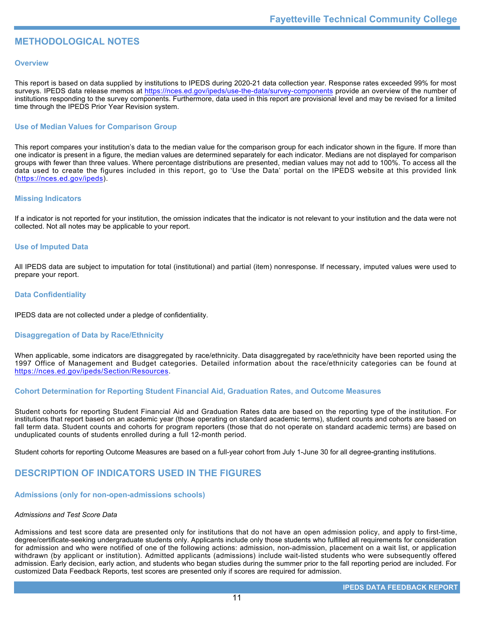# **METHODOLOGICAL NOTES**

# **Overview**

This report is based on data supplied by institutions to IPEDS during 2020-21 data collection year. Response rates exceeded 99% for most surveys. IPEDS data release memos at <https://nces.ed.gov/ipeds/use-the-data/survey-components> provide an overview of the number of institutions responding to the survey components. Furthermore, data used in this report are provisional level and may be revised for a limited time through the IPEDS Prior Year Revision system.

# **Use of Median Values for Comparison Group**

This report compares your institution's data to the median value for the comparison group for each indicator shown in the figure. If more than one indicator is present in a figure, the median values are determined separately for each indicator. Medians are not displayed for comparison groups with fewer than three values. Where percentage distributions are presented, median values may not add to 100%. To access all the data used to create the figures included in this report, go to 'Use the Data' portal on the IPEDS website at this provided link (<https://nces.ed.gov/ipeds>).

# **Missing Indicators**

If a indicator is not reported for your institution, the omission indicates that the indicator is not relevant to your institution and the data were not collected. Not all notes may be applicable to your report.

# **Use of Imputed Data**

All IPEDS data are subject to imputation for total (institutional) and partial (item) nonresponse. If necessary, imputed values were used to prepare your report.

# **Data Confidentiality**

IPEDS data are not collected under a pledge of confidentiality.

# **Disaggregation of Data by Race/Ethnicity**

When applicable, some indicators are disaggregated by race/ethnicity. Data disaggregated by race/ethnicity have been reported using the 1997 Office of Management and Budget categories. Detailed information about the race/ethnicity categories can be found at <https://nces.ed.gov/ipeds/Section/Resources>.

# **Cohort Determination for Reporting Student Financial Aid, Graduation Rates, and Outcome Measures**

Student cohorts for reporting Student Financial Aid and Graduation Rates data are based on the reporting type of the institution. For institutions that report based on an academic year (those operating on standard academic terms), student counts and cohorts are based on fall term data. Student counts and cohorts for program reporters (those that do not operate on standard academic terms) are based on unduplicated counts of students enrolled during a full 12-month period.

Student cohorts for reporting Outcome Measures are based on a full-year cohort from July 1-June 30 for all degree-granting institutions.

# **DESCRIPTION OF INDICATORS USED IN THE FIGURES**

# **Admissions (only for non-open-admissions schools)**

# *Admissions and Test Score Data*

Admissions and test score data are presented only for institutions that do not have an open admission policy, and apply to first-time, degree/certificate-seeking undergraduate students only. Applicants include only those students who fulfilled all requirements for consideration for admission and who were notified of one of the following actions: admission, non-admission, placement on a wait list, or application withdrawn (by applicant or institution). Admitted applicants (admissions) include wait-listed students who were subsequently offered admission. Early decision, early action, and students who began studies during the summer prior to the fall reporting period are included. For customized Data Feedback Reports, test scores are presented only if scores are required for admission.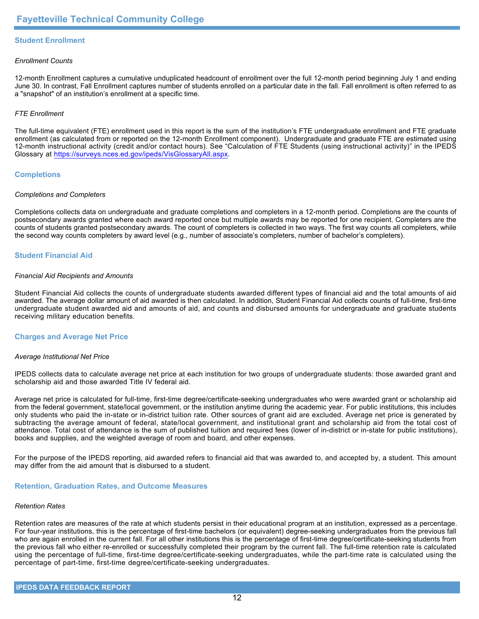# **Student Enrollment**

# *Enrollment Counts*

12-month Enrollment captures a cumulative unduplicated headcount of enrollment over the full 12-month period beginning July 1 and ending June 30. In contrast, Fall Enrollment captures number of students enrolled on a particular date in the fall. Fall enrollment is often referred to as a "snapshot" of an institution's enrollment at a specific time.

# *FTE Enrollment*

The full-time equivalent (FTE) enrollment used in this report is the sum of the institution's FTE undergraduate enrollment and FTE graduate enrollment (as calculated from or reported on the 12-month Enrollment component). Undergraduate and graduate FTE are estimated using 12-month instructional activity (credit and/or contact hours). See "Calculation of FTE Students (using instructional activity)" in the IPEDS Glossary at <https://surveys.nces.ed.gov/ipeds/VisGlossaryAll.aspx>.

# **Completions**

# *Completions and Completers*

Completions collects data on undergraduate and graduate completions and completers in a 12-month period. Completions are the counts of postsecondary awards granted where each award reported once but multiple awards may be reported for one recipient. Completers are the counts of students granted postsecondary awards. The count of completers is collected in two ways. The first way counts all completers, while the second way counts completers by award level (e.g., number of associate's completers, number of bachelor's completers).

# **Student Financial Aid**

#### *Financial Aid Recipients and Amounts*

Student Financial Aid collects the counts of undergraduate students awarded different types of financial aid and the total amounts of aid awarded. The average dollar amount of aid awarded is then calculated. In addition, Student Financial Aid collects counts of full-time, first-time undergraduate student awarded aid and amounts of aid, and counts and disbursed amounts for undergraduate and graduate students receiving military education benefits.

# **Charges and Average Net Price**

# *Average Institutional Net Price*

IPEDS collects data to calculate average net price at each institution for two groups of undergraduate students: those awarded grant and scholarship aid and those awarded Title IV federal aid.

Average net price is calculated for full-time, first-time degree/certificate-seeking undergraduates who were awarded grant or scholarship aid from the federal government, state/local government, or the institution anytime during the academic year. For public institutions, this includes only students who paid the in-state or in-district tuition rate. Other sources of grant aid are excluded. Average net price is generated by subtracting the average amount of federal, state/local government, and institutional grant and scholarship aid from the total cost of attendance. Total cost of attendance is the sum of published tuition and required fees (lower of in-district or in-state for public institutions), books and supplies, and the weighted average of room and board, and other expenses.

For the purpose of the IPEDS reporting, aid awarded refers to financial aid that was awarded to, and accepted by, a student. This amount may differ from the aid amount that is disbursed to a student.

# **Retention, Graduation Rates, and Outcome Measures**

# *Retention Rates*

Retention rates are measures of the rate at which students persist in their educational program at an institution, expressed as a percentage. For four-year institutions, this is the percentage of first-time bachelors (or equivalent) degree-seeking undergraduates from the previous fall who are again enrolled in the current fall. For all other institutions this is the percentage of first-time degree/certificate-seeking students from the previous fall who either re-enrolled or successfully completed their program by the current fall. The full-time retention rate is calculated using the percentage of full-time, first-time degree/certificate-seeking undergraduates, while the part-time rate is calculated using the percentage of part-time, first-time degree/certificate-seeking undergraduates.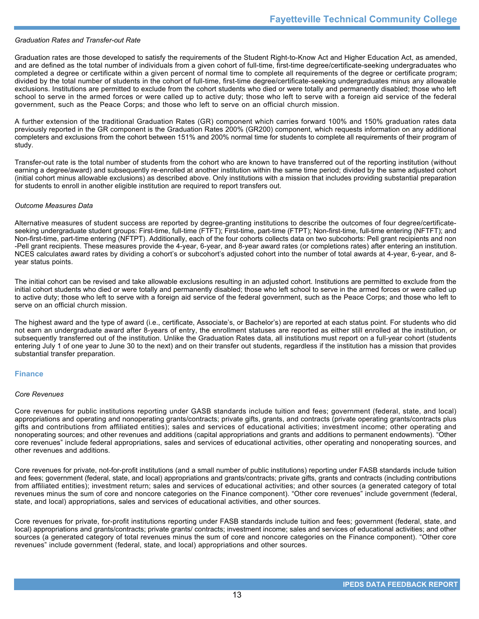# *Graduation Rates and Transfer-out Rate*

Graduation rates are those developed to satisfy the requirements of the Student Right-to-Know Act and Higher Education Act, as amended, and are defined as the total number of individuals from a given cohort of full-time, first-time degree/certificate-seeking undergraduates who completed a degree or certificate within a given percent of normal time to complete all requirements of the degree or certificate program; divided by the total number of students in the cohort of full-time, first-time degree/certificate-seeking undergraduates minus any allowable exclusions. Institutions are permitted to exclude from the cohort students who died or were totally and permanently disabled; those who left school to serve in the armed forces or were called up to active duty; those who left to serve with a foreign aid service of the federal government, such as the Peace Corps; and those who left to serve on an official church mission.

A further extension of the traditional Graduation Rates (GR) component which carries forward 100% and 150% graduation rates data previously reported in the GR component is the Graduation Rates 200% (GR200) component, which requests information on any additional completers and exclusions from the cohort between 151% and 200% normal time for students to complete all requirements of their program of study.

Transfer-out rate is the total number of students from the cohort who are known to have transferred out of the reporting institution (without earning a degree/award) and subsequently re-enrolled at another institution within the same time period; divided by the same adjusted cohort (initial cohort minus allowable exclusions) as described above. Only institutions with a mission that includes providing substantial preparation for students to enroll in another eligible institution are required to report transfers out.

#### *Outcome Measures Data*

Alternative measures of student success are reported by degree-granting institutions to describe the outcomes of four degree/certificateseeking undergraduate student groups: First-time, full-time (FTFT); First-time, part-time (FTPT); Non-first-time, full-time entering (NFTFT); and Non-first-time, part-time entering (NFTPT). Additionally, each of the four cohorts collects data on two subcohorts: Pell grant recipients and non -Pell grant recipients. These measures provide the 4-year, 6-year, and 8-year award rates (or completions rates) after entering an institution. NCES calculates award rates by dividing a cohort's or subcohort's adjusted cohort into the number of total awards at 4-year, 6-year, and 8year status points.

The initial cohort can be revised and take allowable exclusions resulting in an adjusted cohort. Institutions are permitted to exclude from the initial cohort students who died or were totally and permanently disabled; those who left school to serve in the armed forces or were called up to active duty; those who left to serve with a foreign aid service of the federal government, such as the Peace Corps; and those who left to serve on an official church mission.

The highest award and the type of award (i.e., certificate, Associate's, or Bachelor's) are reported at each status point. For students who did not earn an undergraduate award after 8-years of entry, the enrollment statuses are reported as either still enrolled at the institution, or subsequently transferred out of the institution. Unlike the Graduation Rates data, all institutions must report on a full-year cohort (students entering July 1 of one year to June 30 to the next) and on their transfer out students, regardless if the institution has a mission that provides substantial transfer preparation.

# **Finance**

#### *Core Revenues*

Core revenues for public institutions reporting under GASB standards include tuition and fees; government (federal, state, and local) appropriations and operating and nonoperating grants/contracts; private gifts, grants, and contracts (private operating grants/contracts plus gifts and contributions from affiliated entities); sales and services of educational activities; investment income; other operating and nonoperating sources; and other revenues and additions (capital appropriations and grants and additions to permanent endowments). "Other core revenues" include federal appropriations, sales and services of educational activities, other operating and nonoperating sources, and other revenues and additions.

Core revenues for private, not-for-profit institutions (and a small number of public institutions) reporting under FASB standards include tuition and fees; government (federal, state, and local) appropriations and grants/contracts; private gifts, grants and contracts (including contributions from affiliated entities); investment return; sales and services of educational activities; and other sources (a generated category of total revenues minus the sum of core and noncore categories on the Finance component). "Other core revenues" include government (federal, state, and local) appropriations, sales and services of educational activities, and other sources.

Core revenues for private, for-profit institutions reporting under FASB standards include tuition and fees; government (federal, state, and local) appropriations and grants/contracts; private grants/ contracts; investment income; sales and services of educational activities; and other sources (a generated category of total revenues minus the sum of core and noncore categories on the Finance component). "Other core revenues" include government (federal, state, and local) appropriations and other sources.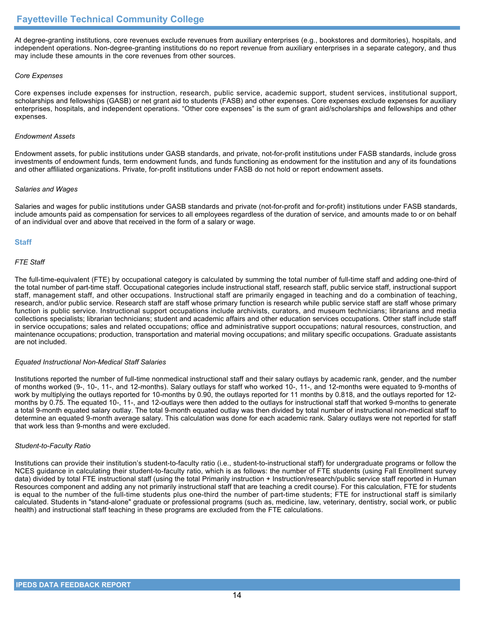At degree-granting institutions, core revenues exclude revenues from auxiliary enterprises (e.g., bookstores and dormitories), hospitals, and independent operations. Non-degree-granting institutions do no report revenue from auxiliary enterprises in a separate category, and thus may include these amounts in the core revenues from other sources.

# *Core Expenses*

Core expenses include expenses for instruction, research, public service, academic support, student services, institutional support, scholarships and fellowships (GASB) or net grant aid to students (FASB) and other expenses. Core expenses exclude expenses for auxiliary enterprises, hospitals, and independent operations. "Other core expenses" is the sum of grant aid/scholarships and fellowships and other expenses.

# *Endowment Assets*

Endowment assets, for public institutions under GASB standards, and private, not-for-profit institutions under FASB standards, include gross investments of endowment funds, term endowment funds, and funds functioning as endowment for the institution and any of its foundations and other affiliated organizations. Private, for-profit institutions under FASB do not hold or report endowment assets.

# *Salaries and Wages*

Salaries and wages for public institutions under GASB standards and private (not-for-profit and for-profit) institutions under FASB standards, include amounts paid as compensation for services to all employees regardless of the duration of service, and amounts made to or on behalf of an individual over and above that received in the form of a salary or wage.

# **Staff**

# *FTE Staff*

The full-time-equivalent (FTE) by occupational category is calculated by summing the total number of full-time staff and adding one-third of the total number of part-time staff. Occupational categories include instructional staff, research staff, public service staff, instructional support staff, management staff, and other occupations. Instructional staff are primarily engaged in teaching and do a combination of teaching, research, and/or public service. Research staff are staff whose primary function is research while public service staff are staff whose primary function is public service. Instructional support occupations include archivists, curators, and museum technicians; librarians and media collections specialists; librarian technicians; student and academic affairs and other education services occupations. Other staff include staff in service occupations; sales and related occupations; office and administrative support occupations; natural resources, construction, and maintenance occupations; production, transportation and material moving occupations; and military specific occupations. Graduate assistants are not included.

# *Equated Instructional Non-Medical Staff Salaries*

Institutions reported the number of full-time nonmedical instructional staff and their salary outlays by academic rank, gender, and the number of months worked (9-, 10-, 11-, and 12-months). Salary outlays for staff who worked 10-, 11-, and 12-months were equated to 9-months of work by multiplying the outlays reported for 10-months by 0.90, the outlays reported for 11 months by 0.818, and the outlays reported for 12 months by 0.75. The equated 10-, 11-, and 12-outlays were then added to the outlays for instructional staff that worked 9-months to generate a total 9-month equated salary outlay. The total 9-month equated outlay was then divided by total number of instructional non-medical staff to determine an equated 9-month average salary. This calculation was done for each academic rank. Salary outlays were not reported for staff that work less than 9-months and were excluded.

# *Student-to-Faculty Ratio*

Institutions can provide their institution's student-to-faculty ratio (i.e., student-to-instructional staff) for undergraduate programs or follow the NCES guidance in calculating their student-to-faculty ratio, which is as follows: the number of FTE students (using Fall Enrollment survey data) divided by total FTE instructional staff (using the total Primarily instruction + Instruction/research/public service staff reported in Human Resources component and adding any not primarily instructional staff that are teaching a credit course). For this calculation, FTE for students is equal to the number of the full-time students plus one-third the number of part-time students; FTE for instructional staff is similarly calculated. Students in "stand-alone" graduate or professional programs (such as, medicine, law, veterinary, dentistry, social work, or public health) and instructional staff teaching in these programs are excluded from the FTE calculations.